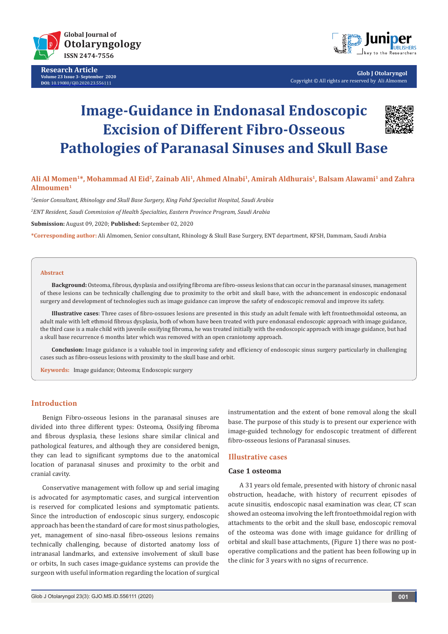

**Research Article Volume 23 Issue 3- September 2020 DOI:** [10.19080/GJO.2020.23.556](http://dx.doi.org/10.19080/GJO.2020.23.556111)111



**Glob J Otolaryngol** Copyright © All rights are reserved by Ali Almomen

# **Image-Guidance in Endonasal Endoscopic Excision of Different Fibro-Osseous Pathologies of Paranasal Sinuses and Skull Base**



# **Ali Al Momen1\*, Mohammad Al Eid2, Zainab Ali1, Ahmed Alnabi1, Amirah Aldhurais1, Balsam Alawami1 and Zahra Almoumen1**

*1 Senior Consultant, Rhinology and Skull Base Surgery, King Fahd Specialist Hospital, Saudi Arabia*

*2 ENT Resident, Saudi Commission of Health Specialties, Eastern Province Program, Saudi Arabia*

**Submission:** August 09, 2020; **Published:** September 02, 2020

**\*Corresponding author:** Ali Almomen, Senior consultant, Rhinology & Skull Base Surgery, ENT department, KFSH, Dammam, Saudi Arabia

#### **Abstract**

**Background:** Osteoma, fibrous, dysplasia and ossifying fibroma are fibro-osseus lesions that can occur in the paranasal sinuses, management of these lesions can be technically challenging due to proximity to the orbit and skull base, with the advancement in endoscopic endonasal surgery and development of technologies such as image guidance can improve the safety of endoscopic removal and improve its safety.

**Illustrative cases**: Three cases of fibro-ossuoes lesions are presented in this study an adult female with left frontoethmoidal osteoma, an adult male with left ethmoid fibrous dysplasia, both of whom have been treated with pure endonasal endoscopic approach with image guidance, the third case is a male child with juvenile ossifying fibroma, he was treated initially with the endoscopic approach with image guidance, but had a skull base recurrence 6 months later which was removed with an open craniotomy approach.

**Conclusion:** Image guidance is a valuable tool in improving safety and efficiency of endoscopic sinus surgery particularly in challenging cases such as fibro-osseus lesions with proximity to the skull base and orbit.

**Keywords:** Image guidance; Osteoma; Endoscopic surgery

#### **Introduction**

Benign Fibro-osseous lesions in the paranasal sinuses are divided into three different types: Osteoma, Ossifying fibroma and fibrous dysplasia, these lesions share similar clinical and pathological features, and although they are considered benign, they can lead to significant symptoms due to the anatomical location of paranasal sinuses and proximity to the orbit and cranial cavity.

Conservative management with follow up and serial imaging is advocated for asymptomatic cases, and surgical intervention is reserved for complicated lesions and symptomatic patients. Since the introduction of endoscopic sinus surgery, endoscopic approach has been the standard of care for most sinus pathologies, yet, management of sino-nasal fibro-osseous lesions remains technically challenging, because of distorted anatomy loss of intranasal landmarks, and extensive involvement of skull base or orbits, In such cases image-guidance systems can provide the surgeon with useful information regarding the location of surgical

instrumentation and the extent of bone removal along the skull base. The purpose of this study is to present our experience with image-guided technology for endoscopic treatment of different fibro-osseous lesions of Paranasal sinuses.

# **Illustrative cases**

### **Case 1 osteoma**

A 31 years old female, presented with history of chronic nasal obstruction, headache, with history of recurrent episodes of acute sinusitis, endoscopic nasal examination was clear, CT scan showed an osteoma involving the left frontoethmoidal region with attachments to the orbit and the skull base, endoscopic removal of the osteoma was done with image guidance for drilling of orbital and skull base attachments, (Figure 1) there was no postoperative complications and the patient has been following up in the clinic for 3 years with no signs of recurrence.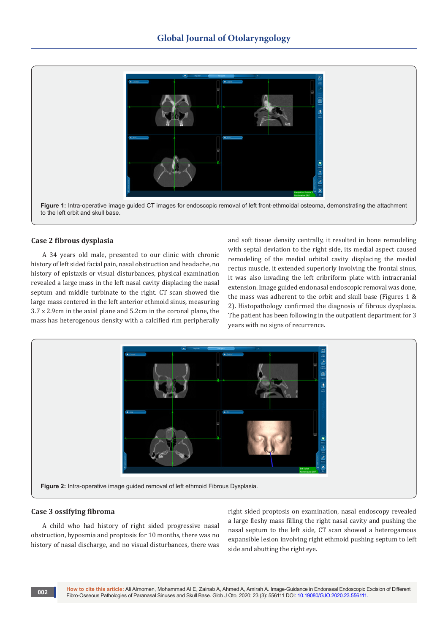

## **Case 2 fibrous dysplasia**

A 34 years old male, presented to our clinic with chronic history of left sided facial pain, nasal obstruction and headache, no history of epistaxis or visual disturbances, physical examination revealed a large mass in the left nasal cavity displacing the nasal septum and middle turbinate to the right. CT scan showed the large mass centered in the left anterior ethmoid sinus, measuring 3.7 x 2.9cm in the axial plane and 5.2cm in the coronal plane, the mass has heterogenous density with a calcified rim peripherally

and soft tissue density centrally, it resulted in bone remodeling with septal deviation to the right side, its medial aspect caused remodeling of the medial orbital cavity displacing the medial rectus muscle, it extended superiorly involving the frontal sinus, it was also invading the left cribriform plate with intracranial extension. Image guided endonasal endoscopic removal was done, the mass was adherent to the orbit and skull base (Figures 1 & 2). Histopathology confirmed the diagnosis of fibrous dysplasia. The patient has been following in the outpatient department for 3 years with no signs of recurrence.



## **Case 3 ossifying fibroma**

**002**

A child who had history of right sided progressive nasal obstruction, hyposmia and proptosis for 10 months, there was no history of nasal discharge, and no visual disturbances, there was right sided proptosis on examination, nasal endoscopy revealed a large fleshy mass filling the right nasal cavity and pushing the nasal septum to the left side, CT scan showed a heterogamous expansible lesion involving right ethmoid pushing septum to left side and abutting the right eye.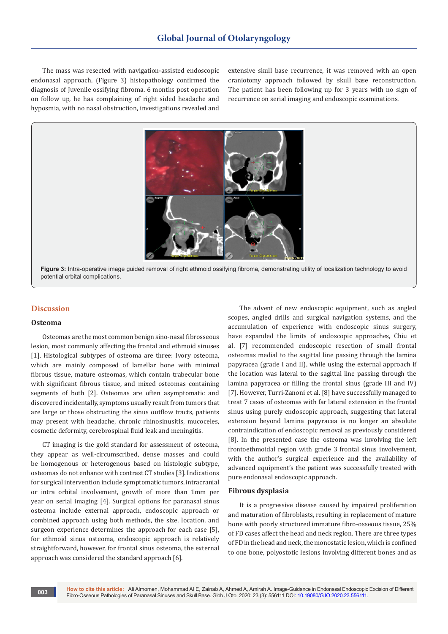The mass was resected with navigation-assisted endoscopic endonasal approach, (Figure 3) histopathology confirmed the diagnosis of Juvenile ossifying fibroma. 6 months post operation on follow up, he has complaining of right sided headache and hyposmia, with no nasal obstruction, investigations revealed and

extensive skull base recurrence, it was removed with an open craniotomy approach followed by skull base reconstruction. The patient has been following up for 3 years with no sign of recurrence on serial imaging and endoscopic examinations.



**Figure 3:** Intra-operative image guided removal of right ethmoid ossifying fibroma, demonstrating utility of localization technology to avoid potential orbital complications.

# **Discussion**

#### **Osteoma**

Osteomas are the most common benign sino-nasal fibrosseous lesion, most commonly affecting the frontal and ethmoid sinuses [1]. Histological subtypes of osteoma are three: Ivory osteoma, which are mainly composed of lamellar bone with minimal fibrous tissue, mature osteomas, which contain trabecular bone with significant fibrous tissue, and mixed osteomas containing segments of both [2]. Osteomas are often asymptomatic and discovered incidentally, symptoms usually result from tumors that are large or those obstructing the sinus outflow tracts, patients may present with headache, chronic rhinosinusitis, mucoceles, cosmetic deformity, cerebrospinal fluid leak and meningitis.

CT imaging is the gold standard for assessment of osteoma, they appear as well-circumscribed, dense masses and could be homogenous or heterogenous based on histologic subtype, osteomas do not enhance with contrast CT studies [3]. Indications for surgical intervention include symptomatic tumors, intracranial or intra orbital involvement, growth of more than 1mm per year on serial imaging [4]. Surgical options for paranasal sinus osteoma include external approach, endoscopic approach or combined approach using both methods, the size, location, and surgeon experience determines the approach for each case [5], for ethmoid sinus osteoma, endoscopic approach is relatively straightforward, however, for frontal sinus osteoma, the external approach was considered the standard approach [6].

The advent of new endoscopic equipment, such as angled scopes, angled drills and surgical navigation systems, and the accumulation of experience with endoscopic sinus surgery, have expanded the limits of endoscopic approaches, Chiu et al. [7] recommended endoscopic resection of small frontal osteomas medial to the sagittal line passing through the lamina papyracea (grade I and II), while using the external approach if the location was lateral to the sagittal line passing through the lamina papyracea or filling the frontal sinus (grade III and IV) [7]. However, Turri-Zanoni et al. [8] have successfully managed to treat 7 cases of osteomas with far lateral extension in the frontal sinus using purely endoscopic approach, suggesting that lateral extension beyond lamina papyracea is no longer an absolute contraindication of endoscopic removal as previously considered [8]. In the presented case the osteoma was involving the left frontoethmoidal region with grade 3 frontal sinus involvement, with the author's surgical experience and the availability of advanced equipment's the patient was successfully treated with pure endonasal endoscopic approach.

### **Fibrous dysplasia**

It is a progressive disease caused by impaired proliferation and maturation of fibroblasts, resulting in replacement of mature bone with poorly structured immature fibro-osseous tissue, 25% of FD cases affect the head and neck region. There are three types of FD in the head and neck, the monostatic lesion, which is confined to one bone, polyostotic lesions involving different bones and as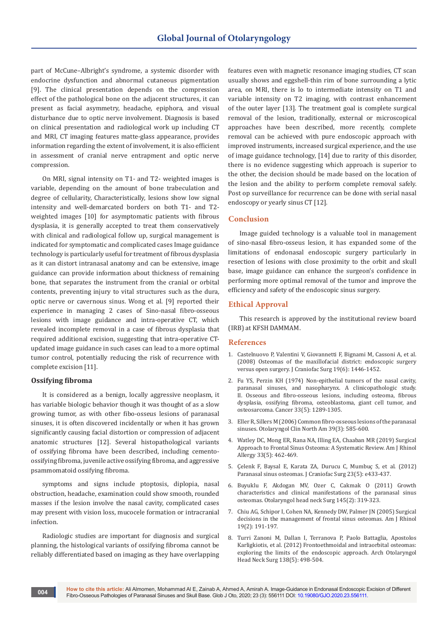part of McCune–Albright's syndrome, a systemic disorder with endocrine dysfunction and abnormal cutaneous pigmentation [9]. The clinical presentation depends on the compression effect of the pathological bone on the adjacent structures, it can present as facial asymmetry, headache, epiphora, and visual disturbance due to optic nerve involvement. Diagnosis is based on clinical presentation and radiological work up including CT and MRI, CT imaging features matte-glass appearance, provides information regarding the extent of involvement, it is also efficient in assessment of cranial nerve entrapment and optic nerve compression.

On MRI, signal intensity on T1- and T2- weighted images is variable, depending on the amount of bone trabeculation and degree of cellularity, Characteristically, lesions show low signal intensity and well-demarcated borders on both T1- and T2 weighted images [10] for asymptomatic patients with fibrous dysplasia, it is generally accepted to treat them conservatively with clinical and radiological follow up, surgical management is indicated for symptomatic and complicated cases Image guidance technology is particularly useful for treatment of fibrous dysplasia as it can distort intranasal anatomy and can be extensive, image guidance can provide information about thickness of remaining bone, that separates the instrument from the cranial or orbital contents, preventing injury to vital structures such as the dura, optic nerve or cavernous sinus. Wong et al. [9] reported their experience in managing 2 cases of Sino-nasal fibro-osseous lesions with image guidance and intra-operative CT, which revealed incomplete removal in a case of fibrous dysplasia that required additional excision, suggesting that intra-operative CTupdated image guidance in such cases can lead to a more optimal tumor control, potentially reducing the risk of recurrence with complete excision [11].

#### **Ossifying fibroma**

It is considered as a benign, locally aggressive neoplasm, it has variable biologic behavior though it was thought of as a slow growing tumor, as with other fibo-osseus lesions of paranasal sinuses, it is often discovered incidentally or when it has grown significantly causing facial distortion or compression of adjacent anatomic structures [12]. Several histopathological variants of ossifying fibroma have been described, including cementoossifying fibroma, juvenile active ossifying fibroma, and aggressive psammomatoid ossifying fibroma.

symptoms and signs include ptoptosis, diplopia, nasal obstruction, headache, examination could show smooth, rounded masses if the lesion involve the nasal cavity, complicated cases may present with vision loss, mucocele formation or intracranial infection.

Radiologic studies are important for diagnosis and surgical planning, the histological variants of ossifying fibroma cannot be reliably differentiated based on imaging as they have overlapping features even with magnetic resonance imaging studies, CT scan usually shows and eggshell-thin rim of bone surrounding a lytic area, on MRI, there is lo to intermediate intensity on T1 and variable intensity on T2 imaging, with contrast enhancement of the outer layer [13]. The treatment goal is complete surgical removal of the lesion, traditionally, external or microscopical approaches have been described, more recently, complete removal can be achieved with pure endoscopic approach with improved instruments, increased surgical experience, and the use of image guidance technology, [14] due to rarity of this disorder, there is no evidence suggesting which approach is superior to the other, the decision should be made based on the location of the lesion and the ability to perform complete removal safely. Post op surveillance for recurrence can be done with serial nasal endoscopy or yearly sinus CT [12].

## **Conclusion**

Image guided technology is a valuable tool in management of sino-nasal fibro-osseus lesion, it has expanded some of the limitations of endonasal endoscopic surgery particularly in resection of lesions with close proximity to the orbit and skull base, image guidance can enhance the surgeon's confidence in performing more optimal removal of the tumor and improve the efficiency and safety of the endoscopic sinus surgery.

## **Ethical Approval**

This research is approved by the institutional review board (IRB) at KFSH DAMMAM.

#### **References**

- 1. [Castelnuovo P, Valentini V, Giovannetti F, Bignami M, Cassoni A, et al.](https://pubmed.ncbi.nlm.nih.gov/19098531/)  [\(2008\) Osteomas of the maxillofacial district: endoscopic surgery](https://pubmed.ncbi.nlm.nih.gov/19098531/)  [versus open surgery. J Craniofac Surg 19\(6\): 1446-1452.](https://pubmed.ncbi.nlm.nih.gov/19098531/)
- 2. [Fu YS, Perzin KH \(1974\) Non-epithelial tumors of the nasal cavity,](https://pubmed.ncbi.nlm.nih.gov/4207295/)  [paranasal sinuses, and nasopharynx. A clinicopathologic study.](https://pubmed.ncbi.nlm.nih.gov/4207295/)  [II. Osseous and fibro-osseous lesions, including osteoma, fibrous](https://pubmed.ncbi.nlm.nih.gov/4207295/)  [dysplasia, ossifying fibroma, osteoblastoma, giant cell tumor, and](https://pubmed.ncbi.nlm.nih.gov/4207295/)  [osteosarcoma. Cancer 33\(5\): 1289-1305.](https://pubmed.ncbi.nlm.nih.gov/4207295/)
- 3. [Eller R, Sillers M \(2006\) Common fibro-osseous lesions of the paranasal](https://pubmed.ncbi.nlm.nih.gov/16757233/)  [sinuses. Otolaryngol Clin North Am 39\(3\): 585-600.](https://pubmed.ncbi.nlm.nih.gov/16757233/)
- 4. [Watley DC, Mong ER, Rana NA, Illing EA, Chaaban MR \(2019\) Surgical](https://pubmed.ncbi.nlm.nih.gov/30950282/)  [Approach to Frontal Sinus Osteoma: A Systematic Review. Am J Rhinol](https://pubmed.ncbi.nlm.nih.gov/30950282/)  [Allergy 33\(5\): 462-469.](https://pubmed.ncbi.nlm.nih.gov/30950282/)
- 5. [Çelenk F, Baysal E, Karata ZA, Durucu C, Mumbuç S, et al. \(2012\)](https://pubmed.ncbi.nlm.nih.gov/22976695/)  [Paranasal sinus osteomas. J Craniofac Surg 23\(5\): e433-437.](https://pubmed.ncbi.nlm.nih.gov/22976695/)
- 6. [Buyuklu F, Akdogan MV, Ozer C, Cakmak O \(2011\) Growth](https://pubmed.ncbi.nlm.nih.gov/21493269/)  [characteristics and clinical manifestations of the paranasal sinus](https://pubmed.ncbi.nlm.nih.gov/21493269/)  [osteomas. Otolaryngol head neck Surg 145\(2\): 319-323.](https://pubmed.ncbi.nlm.nih.gov/21493269/)
- 7. [Chiu AG, Schipor I, Cohen NA, Kennedy DW, Palmer JN \(2005\) Surgical](https://pubmed.ncbi.nlm.nih.gov/15921220/)  [decisions in the management of frontal sinus osteomas. Am J Rhinol](https://pubmed.ncbi.nlm.nih.gov/15921220/)  [19\(2\): 191-197.](https://pubmed.ncbi.nlm.nih.gov/15921220/)
- 8. [Turri Zanoni M, Dallan I, Terranova P, Paolo Battaglia, Apostolos](https://pubmed.ncbi.nlm.nih.gov/22652949/)  [Karligkiotis, et al. \(2012\) Frontoethmoidal and intraorbital osteomas:](https://pubmed.ncbi.nlm.nih.gov/22652949/)  [exploring the limits of the endoscopic approach. Arch Otolaryngol](https://pubmed.ncbi.nlm.nih.gov/22652949/)  [Head Neck Surg 138\(5\): 498-504.](https://pubmed.ncbi.nlm.nih.gov/22652949/)